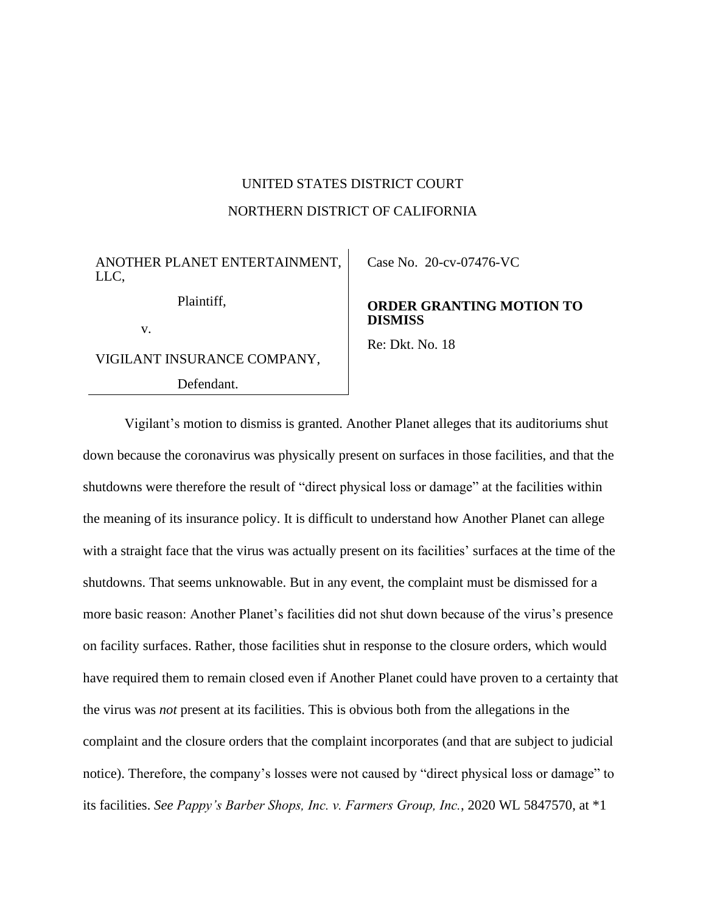## UNITED STATES DISTRICT COURT NORTHERN DISTRICT OF CALIFORNIA

ANOTHER PLANET ENTERTAINMENT, LLC,

Plaintiff,

v.

VIGILANT INSURANCE COMPANY,

Defendant.

Case No. [20-cv-07476-VC](https://ecf.cand.uscourts.gov/cgi-bin/DktRpt.pl?367770) 

**ORDER GRANTING MOTION TO DISMISS**

Re: Dkt. No. 18

Vigilant's motion to dismiss is granted. Another Planet alleges that its auditoriums shut down because the coronavirus was physically present on surfaces in those facilities, and that the shutdowns were therefore the result of "direct physical loss or damage" at the facilities within the meaning of its insurance policy. It is difficult to understand how Another Planet can allege with a straight face that the virus was actually present on its facilities' surfaces at the time of the shutdowns. That seems unknowable. But in any event, the complaint must be dismissed for a more basic reason: Another Planet's facilities did not shut down because of the virus's presence on facility surfaces. Rather, those facilities shut in response to the closure orders, which would have required them to remain closed even if Another Planet could have proven to a certainty that the virus was *not* present at its facilities. This is obvious both from the allegations in the complaint and the closure orders that the complaint incorporates (and that are subject to judicial notice). Therefore, the company's losses were not caused by "direct physical loss or damage" to its facilities. *See Pappy's Barber Shops, Inc. v. Farmers Group, Inc.*, 2020 WL 5847570, at \*1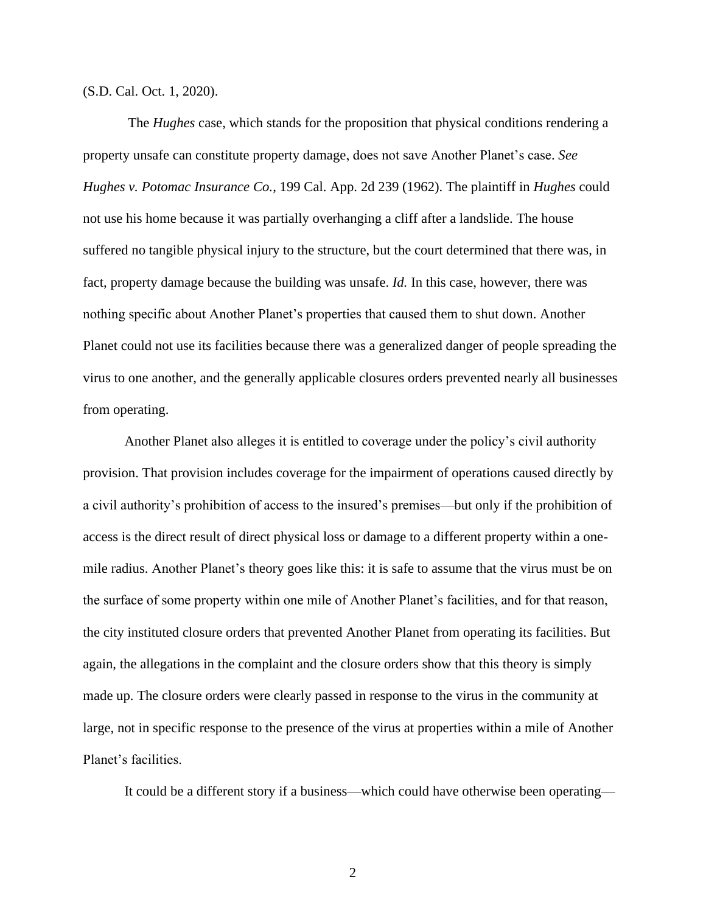(S.D. Cal. Oct. 1, 2020).

The *Hughes* case, which stands for the proposition that physical conditions rendering a property unsafe can constitute property damage, does not save Another Planet's case. *See Hughes v. Potomac Insurance Co.*, 199 Cal. App. 2d 239 (1962). The plaintiff in *Hughes* could not use his home because it was partially overhanging a cliff after a landslide. The house suffered no tangible physical injury to the structure, but the court determined that there was, in fact, property damage because the building was unsafe. *Id.* In this case, however, there was nothing specific about Another Planet's properties that caused them to shut down. Another Planet could not use its facilities because there was a generalized danger of people spreading the virus to one another, and the generally applicable closures orders prevented nearly all businesses from operating.

Another Planet also alleges it is entitled to coverage under the policy's civil authority provision. That provision includes coverage for the impairment of operations caused directly by a civil authority's prohibition of access to the insured's premises—but only if the prohibition of access is the direct result of direct physical loss or damage to a different property within a onemile radius. Another Planet's theory goes like this: it is safe to assume that the virus must be on the surface of some property within one mile of Another Planet's facilities, and for that reason, the city instituted closure orders that prevented Another Planet from operating its facilities. But again, the allegations in the complaint and the closure orders show that this theory is simply made up. The closure orders were clearly passed in response to the virus in the community at large, not in specific response to the presence of the virus at properties within a mile of Another Planet's facilities.

It could be a different story if a business—which could have otherwise been operating—